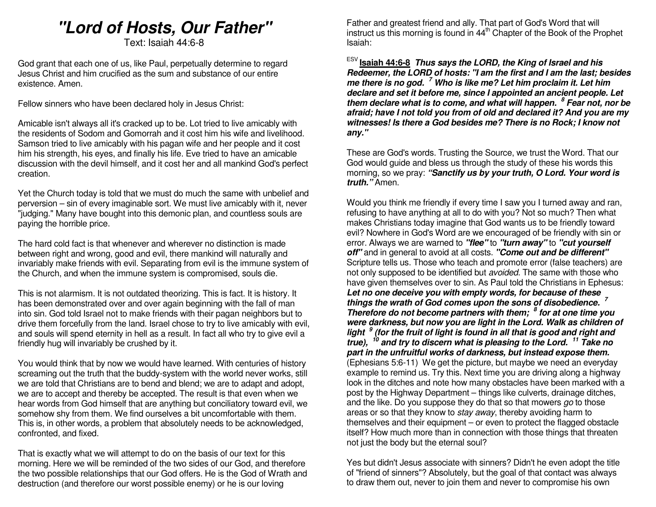# **"Lord of Hosts, Our Father"**

Text: Isaiah 44:6-8

God grant that each one of us, like Paul, perpetually determine to regard Jesus Christ and him crucified as the sum and substance of our entire existence. Amen.

Fellow sinners who have been declared holy in Jesus Christ:

Amicable isn't always all it's cracked up to be. Lot tried to live amicably with the residents of Sodom and Gomorrah and it cost him his wife and livelihood. Samson tried to live amicably with his pagan wife and her people and it cost him his strength, his eyes, and finally his life. Eve tried to have an amicable discussion with the devil himself, and it cost her and all mankind God's perfect creation.

Yet the Church today is told that we must do much the same with unbelief and perversion – sin of every imaginable sort. We must live amicably with it, never "judging." Many have bought into this demonic plan, and countless souls are paying the horrible price.

The hard cold fact is that whenever and wherever no distinction is made between right and wrong, good and evil, there mankind will naturally and invariably make friends with evil. Separating from evil is the immune system of the Church, and when the immune system is compromised, souls die.

This is not alarmism. It is not outdated theorizing. This is fact. It is history. It has been demonstrated over and over again beginning with the fall of man into sin. God told Israel not to make friends with their pagan neighbors but to drive them forcefully from the land. Israel chose to try to live amicably with evil, and souls will spend eternity in hell as a result. In fact all who try to give evil a friendly hug will invariably be crushed by it.

You would think that by now we would have learned. With centuries of history screaming out the truth that the buddy-system with the world never works, still we are told that Christians are to bend and blend; we are to adapt and adopt, we are to accept and thereby be accepted. The result is that even when we hear words from God himself that are anything but conciliatory toward evil, we somehow shy from them. We find ourselves a bit uncomfortable with them. This is, in other words, a problem that absolutely needs to be acknowledged, confronted, and fixed.

That is exactly what we will attempt to do on the basis of our text for this morning. Here we will be reminded of the two sides of our God, and therefore the two possible relationships that our God offers. He is the God of Wrath and destruction (and therefore our worst possible enemy) or he is our loving

Father and greatest friend and ally. That part of God's Word that will instruct us this morning is found in  $44<sup>th</sup>$  Chapter of the Book of the Prophet Isaiah:

ESV **Isaiah 44:6-8 Thus says the LORD, the King of Israel and his Redeemer, the LORD of hosts: "I am the first and I am the last; besides me there is no god. <sup>7</sup> Who is like me? Let him proclaim it. Let him declare and set it before me, since I appointed an ancient people. Let them declare what is to come, and what will happen.<sup>8</sup> Fear not, nor be afraid; have I not told you from of old and declared it? And you are my witnesses! Is there a God besides me? There is no Rock; I know not any."**

These are God's words. Trusting the Source, we trust the Word. That our God would guide and bless us through the study of these his words this morning, so we pray: **"Sanctify us by your truth, O Lord. Your word is truth."** Amen.

Would you think me friendly if every time I saw you I turned away and ran, refusing to have anything at all to do with you? Not so much? Then what makes Christians today imagine that God wants us to be friendly toward evil? Nowhere in God's Word are we encouraged of be friendly with sin or error. Always we are warned to **"flee"** to **"turn away"** to **"cut yourself off"** and in general to avoid at all costs. **"Come out and be different"** Scripture tells us. Those who teach and promote error (false teachers) are not only supposed to be identified but avoided. The same with those who have given themselves over to sin. As Paul told the Christians in Ephesus: **Let no one deceive you with empty words, for because of these things the wrath of God comes upon the sons of disobedience. 7 Therefore do not become partners with them; <sup>8</sup> for at one time you were darkness, but now you are light in the Lord. Walk as children of light <sup>9</sup> (for the fruit of light is found in all that is good and right and true), <sup>10</sup> and try to discern what is pleasing to the Lord. <sup>11</sup> Take no part in the unfruitful works of darkness, but instead expose them.** (Ephesians 5:6-11) We get the picture, but maybe we need an everyday example to remind us. Try this. Next time you are driving along a highway look in the ditches and note how many obstacles have been marked with a post by the Highway Department – things like culverts, drainage ditches, and the like. Do you suppose they do that so that mowers go to those areas or so that they know to stay away, thereby avoiding harm to themselves and their equipment – or even to protect the flagged obstacle itself? How much more than in connection with those things that threaten not just the body but the eternal soul?

Yes but didn't Jesus associate with sinners? Didn't he even adopt the title of "friend of sinners"? Absolutely, but the goal of that contact was always to draw them out, never to join them and never to compromise his own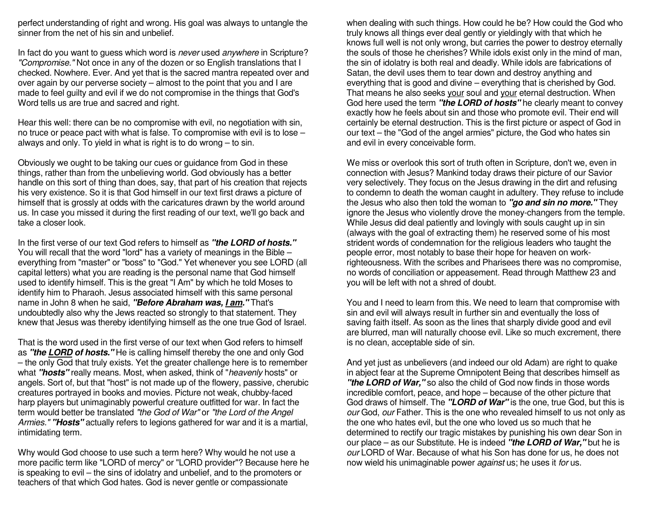perfect understanding of right and wrong. His goal was always to untangle the sinner from the net of his sin and unbelief.

In fact do you want to guess which word is never used anywhere in Scripture? "Compromise." Not once in any of the dozen or so English translations that I checked. Nowhere. Ever. And yet that is the sacred mantra repeated over and over again by our perverse society – almost to the point that you and I are made to feel guilty and evil if we do not compromise in the things that God's Word tells us are true and sacred and right.

Hear this well: there can be no compromise with evil, no negotiation with sin, no truce or peace pact with what is false. To compromise with evil is to lose – always and only. To yield in what is right is to do wrong – to sin.

Obviously we ought to be taking our cues or guidance from God in these things, rather than from the unbelieving world. God obviously has a better handle on this sort of thing than does, say, that part of his creation that rejects his very existence. So it is that God himself in our text first draws a picture of himself that is grossly at odds with the caricatures drawn by the world around us. In case you missed it during the first reading of our text, we'll go back and take a closer look.

In the first verse of our text God refers to himself as **"the LORD of hosts."** You will recall that the word "lord" has a variety of meanings in the Bible – everything from "master" or "boss" to "God." Yet whenever you see LORD (all capital letters) what you are reading is the personal name that God himself used to identify himself. This is the great "I Am" by which he told Moses to identify him to Pharaoh. Jesus associated himself with this same personal name in John 8 when he said, **"Before Abraham was, I am."** That's undoubtedly also why the Jews reacted so strongly to that statement. They knew that Jesus was thereby identifying himself as the one true God of Israel.

That is the word used in the first verse of our text when God refers to himself as **"the LORD of hosts."** He is calling himself thereby the one and only God – the only God that truly exists. Yet the greater challenge here is to remember what **"hosts"** really means. Most, when asked, think of "heavenly hosts" or angels. Sort of, but that "host" is not made up of the flowery, passive, cherubic creatures portrayed in books and movies. Picture not weak, chubby-faced harp players but unimaginably powerful creature outfitted for war. In fact the term would better be translated "the God of War" or "the Lord of the Angel Armies." **"Hosts"** actually refers to legions gathered for war and it is a martial, intimidating term.

Why would God choose to use such a term here? Why would he not use a more pacific term like "LORD of mercy" or "LORD provider"? Because here he is speaking to evil – the sins of idolatry and unbelief, and to the promoters or teachers of that which God hates. God is never gentle or compassionate

when dealing with such things. How could he be? How could the God who truly knows all things ever deal gently or yieldingly with that which he knows full well is not only wrong, but carries the power to destroy eternally the souls of those he cherishes? While idols exist only in the mind of man, the sin of idolatry is both real and deadly. While idols are fabrications of Satan, the devil uses them to tear down and destroy anything and everything that is good and divine – everything that is cherished by God. That means he also seeks your soul and your eternal destruction. When God here used the term **"the LORD of hosts"** he clearly meant to convey exactly how he feels about sin and those who promote evil. Their end will certainly be eternal destruction. This is the first picture or aspect of God in our text – the "God of the angel armies" picture, the God who hates sin and evil in every conceivable form.

We miss or overlook this sort of truth often in Scripture, don't we, even in connection with Jesus? Mankind today draws their picture of our Savior very selectively. They focus on the Jesus drawing in the dirt and refusing to condemn to death the woman caught in adultery. They refuse to include the Jesus who also then told the woman to **"go and sin no more."** They ignore the Jesus who violently drove the money-changers from the temple. While Jesus did deal patiently and lovingly with souls caught up in sin (always with the goal of extracting them) he reserved some of his most strident words of condemnation for the religious leaders who taught the people error, most notably to base their hope for heaven on workrighteousness. With the scribes and Pharisees there was no compromise, no words of conciliation or appeasement. Read through Matthew 23 and you will be left with not a shred of doubt.

You and I need to learn from this. We need to learn that compromise with sin and evil will always result in further sin and eventually the loss of saving faith itself. As soon as the lines that sharply divide good and evil are blurred, man will naturally choose evil. Like so much excrement, there is no clean, acceptable side of sin.

And yet just as unbelievers (and indeed our old Adam) are right to quake in abject fear at the Supreme Omnipotent Being that describes himself as **"the LORD of War,"** so also the child of God now finds in those words incredible comfort, peace, and hope – because of the other picture that God draws of himself. The **"LORD of War"** is the one, true God, but this is our God, our Father. This is the one who revealed himself to us not only as the one who hates evil, but the one who loved us so much that he determined to rectify our tragic mistakes by punishing his own dear Son in our place – as our Substitute. He is indeed **"the LORD of War,"** but he is our LORD of War. Because of what his Son has done for us, he does not now wield his unimaginable power *against* us; he uses it for us.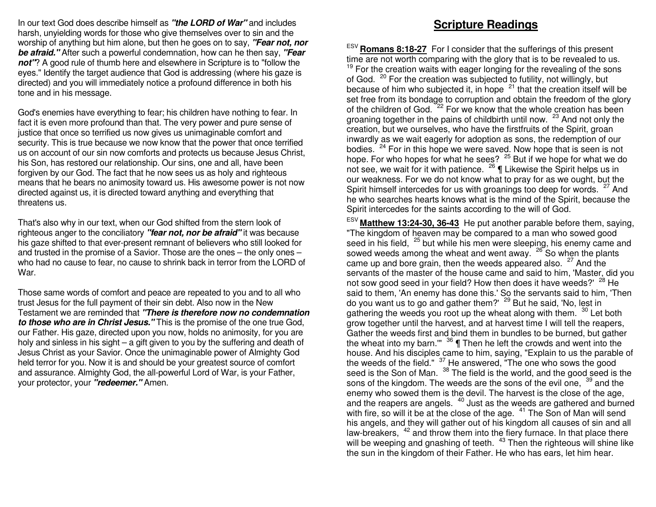In our text God does describe himself as **"the LORD of War"** and includes harsh, unyielding words for those who give themselves over to sin and the worship of anything but him alone, but then he goes on to say, **"Fear not, nor be afraid."** After such a powerful condemnation, how can he then say, **"Fear not"**? A good rule of thumb here and elsewhere in Scripture is to "follow the eyes." Identify the target audience that God is addressing (where his gaze is directed) and you will immediately notice a profound difference in both his tone and in his message.

God's enemies have everything to fear; his children have nothing to fear. In fact it is even more profound than that. The very power and pure sense of justice that once so terrified us now gives us unimaginable comfort and security. This is true because we now know that the power that once terrified us on account of our sin now comforts and protects us because Jesus Christ, his Son, has restored our relationship. Our sins, one and all, have been forgiven by our God. The fact that he now sees us as holy and righteous means that he bears no animosity toward us. His awesome power is not now directed against us, it is directed toward anything and everything that threatens us.

That's also why in our text, when our God shifted from the stern look of righteous anger to the conciliatory **"fear not, nor be afraid"** it was because his gaze shifted to that ever-present remnant of believers who still looked for and trusted in the promise of a Savior. Those are the ones – the only ones – who had no cause to fear, no cause to shrink back in terror from the LORD of War.

Those same words of comfort and peace are repeated to you and to all who trust Jesus for the full payment of their sin debt. Also now in the New Testament we are reminded that **"There is therefore now no condemnation to those who are in Christ Jesus."** This is the promise of the one true God, our Father. His gaze, directed upon you now, holds no animosity, for you are holy and sinless in his sight – a gift given to you by the suffering and death of Jesus Christ as your Savior. Once the unimaginable power of Almighty God held terror for you. Now it is and should be your greatest source of comfort and assurance. Almighty God, the all-powerful Lord of War, is your Father, your protector, your **"redeemer."** Amen.

### **Scripture Readings**

ESV **Romans 8:18-27** For I consider that the sufferings of this presenttime are not worth comparing with the glory that is to be revealed to us.  $19$  For the creation waits with eager longing for the revealing of the sons of God. <sup>20</sup> For the creation was subjected to futility, not willingly, but because of him who subjected it, in hope  $21$  that the creation itself will be set free from its bondage to corruption and obtain the freedom of the glory of the children of God. <sup>22</sup> For we know that the whole creation has been groaning together in the pains of childbirth until now. <sup>23</sup> And not only the creation, but we ourselves, who have the firstfruits of the Spirit, groan inwardly as we wait eagerly for adoption as sons, the redemption of our bodies. <sup>24</sup> For in this hope we were saved. Now hope that is seen is not hope. For who hopes for what he sees? <sup>25</sup> But if we hope for what we do not see, we wait for it with patience. <sup>26</sup> | Likewise the Spirit helps us in our weakness. For we do not know what to pray for as we ought, but the Spirit himself intercedes for us with groanings too deep for words. <sup>27</sup> And he who searches hearts knows what is the mind of the Spirit, because the Spirit intercedes for the saints according to the will of God.

ESV **Matthew 13:24-30, 36-43** He put another parable before them, saying, "The kingdom of heaven may be compared to a man who sowed good seed in his field,  $25$  but while his men were sleeping, his enemy came and sowed weeds among the wheat and went away. <sup>26</sup> So when the plants came up and bore grain, then the weeds appeared also.  $27$  And the servants of the master of the house came and said to him, 'Master, did you not sow good seed in your field? How then does it have weeds?' <sup>28</sup> He said to them, 'An enemy has done this.' So the servants said to him, 'Then do you want us to go and gather them?' <sup>29</sup> But he said, 'No, lest in gathering the weeds you root up the wheat along with them. <sup>30</sup> Let both grow together until the harvest, and at harvest time I will tell the reapers, Gather the weeds first and bind them in bundles to be burned, but gather the wheat into my barn."  $36 \text{ T}$  Then he left the crowds and went into the house. And his disciples came to him, saying, "Explain to us the parable of the weeds of the field."  $37$  He answered, "The one who sows the good seed is the Son of Man.  $38$  The field is the world, and the good seed is the sons of the kingdom. The weeds are the sons of the evil one, <sup>39</sup> and the enemy who sowed them is the devil. The harvest is the close of the age, and the reapers are angels.  $40$  Just as the weeds are gathered and burned with fire, so will it be at the close of the age.  $41$  The Son of Man will send his angels, and they will gather out of his kingdom all causes of sin and all law-breakers, <sup>42</sup> and throw them into the fiery furnace. In that place there will be weeping and gnashing of teeth.  $43$  Then the righteous will shine like the sun in the kingdom of their Father. He who has ears, let him hear.